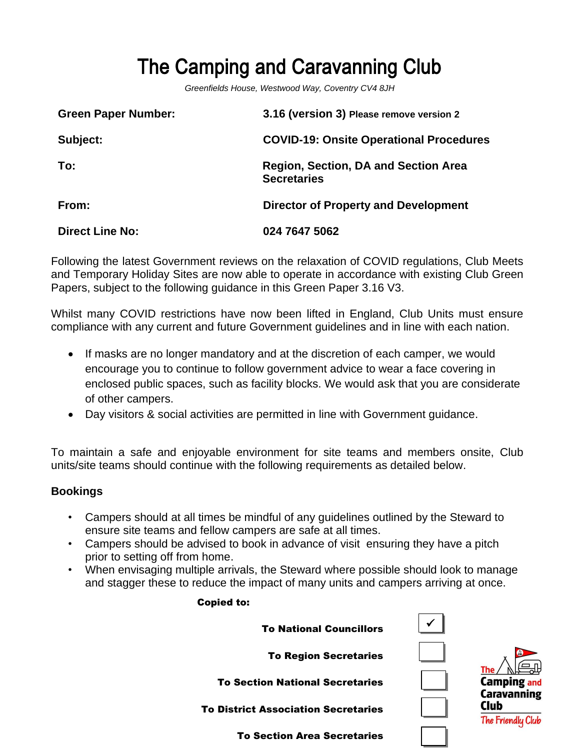# The Camping and Caravanning Club

*Greenfields House, Westwood Way, Coventry CV4 8JH*

| <b>Green Paper Number:</b> | 3.16 (version 3) Please remove version 2                          |
|----------------------------|-------------------------------------------------------------------|
| Subject:                   | <b>COVID-19: Onsite Operational Procedures</b>                    |
| To:                        | <b>Region, Section, DA and Section Area</b><br><b>Secretaries</b> |
| From:                      | <b>Director of Property and Development</b>                       |
| <b>Direct Line No:</b>     | 024 7647 5062                                                     |

Following the latest Government reviews on the relaxation of COVID regulations, Club Meets and Temporary Holiday Sites are now able to operate in accordance with existing Club Green Papers, subject to the following guidance in this Green Paper 3.16 V3.

Whilst many COVID restrictions have now been lifted in England, Club Units must ensure compliance with any current and future Government guidelines and in line with each nation.

- If masks are no longer mandatory and at the discretion of each camper, we would encourage you to continue to follow government advice to wear a face covering in enclosed public spaces, such as facility blocks. We would ask that you are considerate of other campers.
- Day visitors & social activities are permitted in line with Government guidance.

To maintain a safe and enjoyable environment for site teams and members onsite, Club units/site teams should continue with the following requirements as detailed below.

#### **Bookings**

- Campers should at all times be mindful of any guidelines outlined by the Steward to ensure site teams and fellow campers are safe at all times.
- Campers should be advised to book in advance of visit ensuring they have a pitch prior to setting off from home.

Copied to:

• When envisaging multiple arrivals, the Steward where possible should look to manage and stagger these to reduce the impact of many units and campers arriving at once.

| <b>To National Councillors</b>             |                                                 |
|--------------------------------------------|-------------------------------------------------|
| <b>To Region Secretaries</b>               |                                                 |
| <b>To Section National Secretaries</b>     | The<br><b>Camping and</b><br><b>Caravanning</b> |
| <b>To District Association Secretaries</b> | Club<br>The Friendly Club                       |
| To Section Area Secretaries                |                                                 |

✓